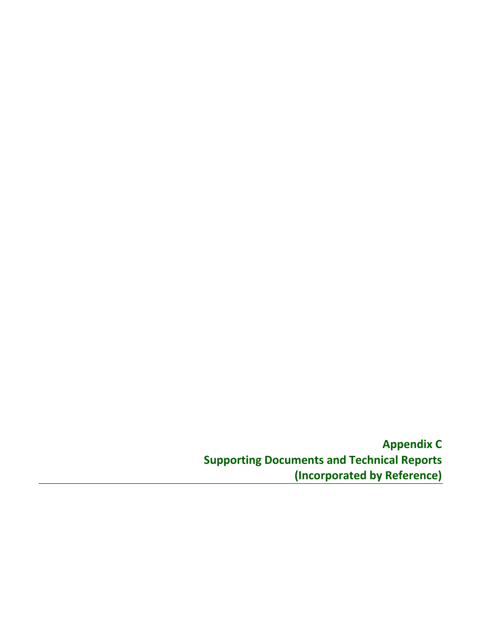**Appendix C Supporting Documents and Technical Reports (Incorporated by Reference)**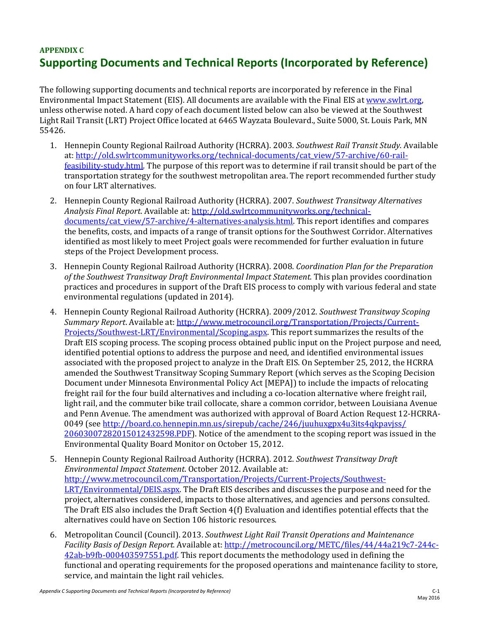## **APPENDIX C Supporting Documents and Technical Reports (Incorporated by Reference)**

The following supporting documents and technical reports are incorporated by reference in the Final Environmental Impact Statement (EIS). All documents are available with the Final EIS at www.swlrt.org, unless otherwise noted. A hard copy of each document listed below can also be viewed at the Southwest Light Rail Transit (LRT) Project Office located at 6465 Wayzata Boulevard., Suite 5000, St. Louis Park, MN 55426. 

- 1. Hennepin County Regional Railroad Authority (HCRRA). 2003. *Southwest Rail Transit Study*. Available at: http://old.swlrtcommunityworks.org/technical-documents/cat\_view/57-archive/60-railfeasibility-study.html. The purpose of this report was to determine if rail transit should be part of the transportation strategy for the southwest metropolitan area. The report recommended further study on four LRT alternatives.
- 2. Hennepin County Regional Railroad Authority (HCRRA). 2007. *Southwest Transitway Alternatives Analysis Final Report*. Available at: http://old.swlrtcommunityworks.org/technical‐ documents/cat\_view/57-archive/4-alternatives-analysis.html. This report identifies and compares the benefits, costs, and impacts of a range of transit options for the Southwest Corridor. Alternatives identified as most likely to meet Project goals were recommended for further evaluation in future steps of the Project Development process.
- 3. Hennepin County Regional Railroad Authority (HCRRA). 2008. *Coordination Plan for the Preparation of the Southwest Transitway Draft Environmental Impact Statement.* This plan provides coordination practices and procedures in support of the Draft EIS process to comply with various federal and state environmental regulations (updated in 2014).
- 4. Hennepin County Regional Railroad Authority (HCRRA). 2009/2012. *Southwest Transitway Scoping Summary Report*. Available at: http://www.metrocouncil.org/Transportation/Projects/Current-Projects/Southwest-LRT/Environmental/Scoping.aspx. This report summarizes the results of the Draft EIS scoping process. The scoping process obtained public input on the Project purpose and need, identified potential options to address the purpose and need, and identified environmental issues associated with the proposed project to analyze in the Draft EIS. On September 25, 2012, the HCRRA amended the Southwest Transitway Scoping Summary Report (which serves as the Scoping Decision Document under Minnesota Environmental Policy Act [MEPA]) to include the impacts of relocating freight rail for the four build alternatives and including a co-location alternative where freight rail, light rail, and the commuter bike trail collocate, share a common corridor, between Louisiana Avenue and Penn Avenue. The amendment was authorized with approval of Board Action Request 12-HCRRA-0049 (see http://board.co.hennepin.mn.us/sirepub/cache/246/juuhuxgpx4u3its4qkpavjss/ 20603007282015012432598.PDF). Notice of the amendment to the scoping report was issued in the Environmental Quality Board Monitor on October 15, 2012.
- 5. Hennepin County Regional Railroad Authority (HCRRA). 2012. *Southwest Transitway Draft Environmental Impact Statement*. October 2012. Available at: http://www.metrocouncil.com/Transportation/Projects/Current-Projects/Southwest-LRT/Environmental/DEIS.aspx. The Draft EIS describes and discusses the purpose and need for the project, alternatives considered, impacts to those alternatives, and agencies and persons consulted. The Draft EIS also includes the Draft Section  $4(f)$  Evaluation and identifies potential effects that the alternatives could have on Section 106 historic resources.
- 6. Metropolitan Council (Council). 2013. *Southwest Light Rail Transit Operations and Maintenance Facility Basis of Design Report.* Available at: http://metrocouncil.org/METC/files/44/44a219c7‐244c‐ 42ab-b9fb-000403597551.pdf. This report documents the methodology used in defining the functional and operating requirements for the proposed operations and maintenance facility to store, service, and maintain the light rail vehicles.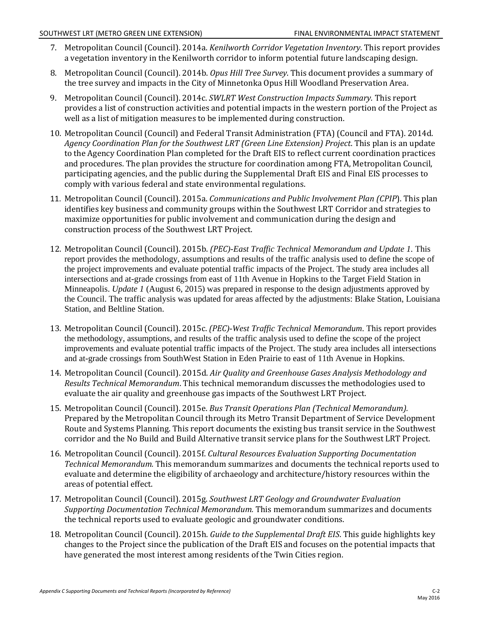- 7. Metropolitan Council (Council). 2014a. *Kenilworth Corridor Vegetation Inventory*. This report provides a vegetation inventory in the Kenilworth corridor to inform potential future landscaping design.
- 8. Metropolitan Council (Council). 2014b. *Opus Hill Tree Survey*. This document provides a summary of the tree survey and impacts in the City of Minnetonka Opus Hill Woodland Preservation Area.
- 9. Metropolitan Council (Council). 2014c. *SWLRT West Construction Impacts Summary.* This report provides a list of construction activities and potential impacts in the western portion of the Project as well as a list of mitigation measures to be implemented during construction.
- *Agency Coordination Plan for the Southwest LRT (Green Line Extension) Project*. This plan is an update 10. Metropolitan Council (Council) and Federal Transit Administration (FTA) (Council and FTA). 2014d. to the Agency Coordination Plan completed for the Draft EIS to reflect current coordination practices and procedures. The plan provides the structure for coordination among FTA, Metropolitan Council, participating agencies, and the public during the Supplemental Draft EIS and Final EIS processes to comply with various federal and state environmental regulations.
- 11. Metropolitan Council (Council). 2015a. *Communications and Public Involvement Plan (CPIP*). This plan identifies key business and community groups within the Southwest LRT Corridor and strategies to maximize opportunities for public involvement and communication during the design and construction process of the Southwest LRT Project.
- 12. Metropolitan Council (Council). 2015b. *(PEC)-East Traffic Technical Memorandum and Update 1*. This report provides the methodology, assumptions and results of the traffic analysis used to define the scope of the project improvements and evaluate potential traffic impacts of the Project. The study area includes all intersections and at-grade crossings from east of 11th Avenue in Hopkins to the Target Field Station in Minneapolis. *Update 1* (August 6, 2015) was prepared in response to the design adjustments approved by the Council. The traffic analysis was updated for areas affected by the adjustments: Blake Station, Louisiana Station, and Beltline Station.
- 13. Metropolitan Council (Council). 2015c. *(PEC*)-West Traffic Technical Memorandum. This report provides the methodology, assumptions, and results of the traffic analysis used to define the scope of the project improvements and evaluate potential traffic impacts of the Project. The study area includes all intersections and at-grade crossings from SouthWest Station in Eden Prairie to east of 11th Avenue in Hopkins.
- 14. Metropolitan Council (Council). 2015d. *Air Quality and Greenhouse Gases Analysis Methodology and Results Technical Memorandum*. This technical memorandum discusses the methodologies used to evaluate the air quality and greenhouse gas impacts of the Southwest LRT Project.
- 15. Metropolitan Council (Council). 2015e. *Bus Transit Operations Plan (Technical Memorandum).* Prepared by the Metropolitan Council through its Metro Transit Department of Service Development Route and Systems Planning. This report documents the existing bus transit service in the Southwest corridor and the No Build and Build Alternative transit service plans for the Southwest LRT Project.
- 16. Metropolitan Council (Council). 2015f. *Cultural Resources Evaluation Supporting Documentation Technical Memorandum.* This memorandum summarizes and documents the technical reports used to evaluate and determine the eligibility of archaeology and architecture/history resources within the areas of potential effect.
- 17. Metropolitan Council (Council). 2015g. Southwest LRT Geology and Groundwater Evaluation  *Supporting Documentation Technical Memorandum.* This memorandum summarizes and documents the technical reports used to evaluate geologic and groundwater conditions.
- 18. Metropolitan Council (Council). 2015h. *Guide to the Supplemental Draft EIS*. This guide highlights key have generated the most interest among residents of the Twin Cities region. changes to the Project since the publication of the Draft EIS and focuses on the potential impacts that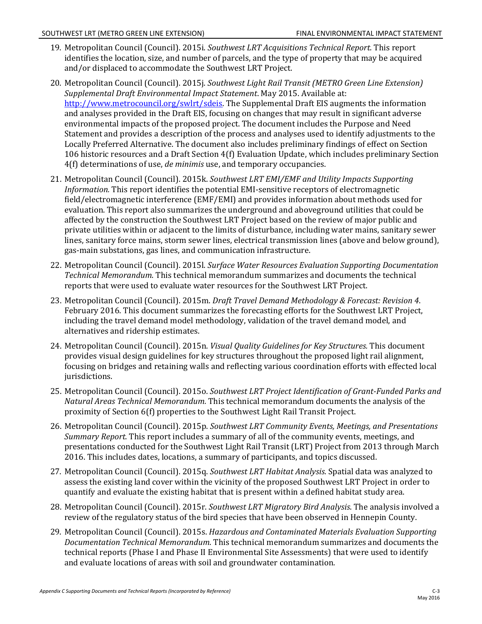- 19. Metropolitan Council (Council). 2015i. *Southwest LRT Acquisitions Technical Report.* This report identifies the location, size, and number of parcels, and the type of property that may be acquired and/or displaced to accommodate the Southwest LRT Project.
- 20. Metropolitan Council (Council). 2015j. *Southwest Light Rail Transit (METRO Green Line Extension) Supplemental Draft Environmental Impact Statement*. May 2015. Available at: http://www.metrocouncil.org/swlrt/sdeis. The Supplemental Draft EIS augments the information and analyses provided in the Draft EIS, focusing on changes that may result in significant adverse environmental impacts of the proposed project. The document includes the Purpose and Need Statement and provides a description of the process and analyses used to identify adjustments to the Locally Preferred Alternative. The document also includes preliminary findings of effect on Section 106 historic resources and a Draft Section 4(f) Evaluation Update, which includes preliminary Section 4(f) determinations of use, *de minimis* use, and temporary occupancies.
- 21. Metropolitan Council (Council). 2015k. *Southwest LRT EMI/EMF and Utility Impacts Supporting Information*. This report identifies the potential EMI-sensitive receptors of electromagnetic field/electromagnetic interference (EMF/EMI) and provides information about methods used for evaluation. This report also summarizes the underground and aboveground utilities that could be affected by the construction the Southwest LRT Project based on the review of major public and private utilities within or adjacent to the limits of disturbance, including water mains, sanitary sewer lines, sanitary force mains, storm sewer lines, electrical transmission lines (above and below ground), gas-main substations, gas lines, and communication infrastructure.
- 22. Metropolitan Council (Council). 2015l. *Surface Water Resources Evaluation Supporting Documentation Technical Memorandum*. This technical memorandum summarizes and documents the technical reports that were used to evaluate water resources for the Southwest LRT Project.
- 23. Metropolitan Council (Council). 2015m. *Draft Travel Demand Methodology & Forecast: Revision 4*. February 2016. This document summarizes the forecasting efforts for the Southwest LRT Project, including the travel demand model methodology, validation of the travel demand model, and alternatives and ridership estimates.
- 24. Metropolitan Council (Council). 2015n. *Visual Quality Guidelines for Key Structures.* This document provides visual design guidelines for key structures throughout the proposed light rail alignment, focusing on bridges and retaining walls and reflecting various coordination efforts with effected local jurisdictions.
- 25. Metropolitan Council (Council). 2015o. *Southwest LRT Project Identification of Grant‐Funded Parks and Natural Areas Technical Memorandum.* This technical memorandum documents the analysis of the proximity of Section 6(f) properties to the Southwest Light Rail Transit Project.
- 26. Metropolitan Council (Council). 2015p. *Southwest LRT Community Events, Meetings, and Presentations Summary Report.* This report includes a summary of all of the community events, meetings, and presentations conducted for the Southwest Light Rail Transit (LRT) Project from 2013 through March 2016. This includes dates, locations, a summary of participants, and topics discussed.
- 27. Metropolitan Council (Council). 2015q. *Southwest LRT Habitat Analysis*. Spatial data was analyzed to assess the existing land cover within the vicinity of the proposed Southwest LRT Project in order to quantify and evaluate the existing habitat that is present within a defined habitat study area.
- 28. Metropolitan Council (Council). 2015r. *Southwest LRT Migratory Bird Analysis*. The analysis involved a review of the regulatory status of the bird species that have been observed in Hennepin County.
- 29. Metropolitan Council (Council). 2015s. *Hazardous and Contaminated Materials Evaluation Supporting Documentation Technical Memorandum*. This technical memorandum summarizes and documents the technical reports (Phase I and Phase II Environmental Site Assessments) that were used to identify and evaluate locations of areas with soil and groundwater contamination.